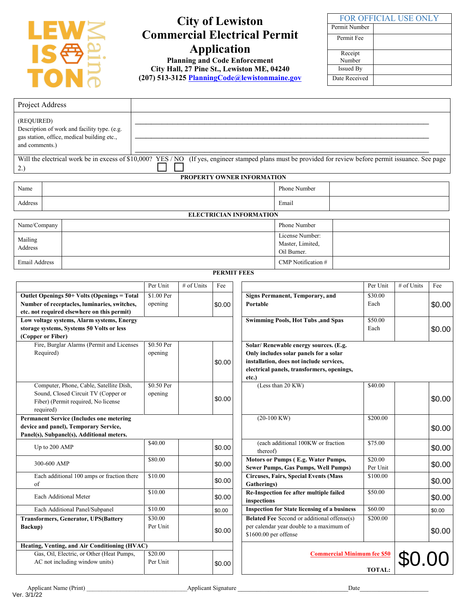

# **City of Lewiston Commercial Electrical Permit Application**

**Planning and Code Enforcement City Hall, 27 Pine St., Lewiston ME, 04240 (207) 513-3125 [PlanningCode@lewistonmaine.gov](mailto:PlanningCode@lewistonmaine.gov)**

| <b>FOR OFFICIAL USE ONLY</b> |  |  |  |  |
|------------------------------|--|--|--|--|
| Permit Number                |  |  |  |  |
| Permit Fee                   |  |  |  |  |
|                              |  |  |  |  |
| Receipt                      |  |  |  |  |
| Number                       |  |  |  |  |
| <b>Issued By</b>             |  |  |  |  |
| Date Received                |  |  |  |  |

| Project Address                                                                                                  |  |                                                                                             |          |              |                                 |                                |                                                                                              |          |            |     |
|------------------------------------------------------------------------------------------------------------------|--|---------------------------------------------------------------------------------------------|----------|--------------|---------------------------------|--------------------------------|----------------------------------------------------------------------------------------------|----------|------------|-----|
| (REQUIRED)<br>and comments.)                                                                                     |  | Description of work and facility type. (e.g.<br>gas station, office, medical building etc., |          |              |                                 |                                |                                                                                              |          |            |     |
| 2.)                                                                                                              |  | Will the electrical work be in excess of \$10,000? YES / NO                                 |          |              |                                 |                                | (If yes, engineer stamped plans must be provided for review before permit issuance. See page |          |            |     |
|                                                                                                                  |  |                                                                                             |          |              |                                 | PROPERTY OWNER INFORMATION     |                                                                                              |          |            |     |
| Name                                                                                                             |  |                                                                                             |          |              |                                 | Phone Number                   |                                                                                              |          |            |     |
| Address                                                                                                          |  |                                                                                             |          |              |                                 |                                | Email                                                                                        |          |            |     |
|                                                                                                                  |  |                                                                                             |          |              |                                 | <b>ELECTRICIAN INFORMATION</b> |                                                                                              |          |            |     |
| Name/Company                                                                                                     |  |                                                                                             |          |              |                                 |                                | Phone Number                                                                                 |          |            |     |
| Mailing<br>Address                                                                                               |  |                                                                                             |          |              |                                 |                                | License Number:<br>Master, Limited,<br>Oil Burner.                                           |          |            |     |
| Email Address                                                                                                    |  |                                                                                             |          |              |                                 |                                | CMP Notification #                                                                           |          |            |     |
|                                                                                                                  |  |                                                                                             |          |              | <b>PERMIT FEES</b>              |                                |                                                                                              |          |            |     |
|                                                                                                                  |  |                                                                                             | Per Unit | $#$ of Units | Fee                             |                                |                                                                                              | Per Unit | # of Units | Fee |
| \$1.00 Per<br>Outlet Openings 50+ Volts (Openings = Total                                                        |  |                                                                                             |          |              | Signs Permanent, Temporary, and | \$30.00                        |                                                                                              |          |            |     |
| Number of receptacles, luminaries, switches,<br>opening<br>\$0.00<br>etc. not required elsewhere on this permit) |  |                                                                                             |          | Portable     |                                 | Each                           |                                                                                              | \$0.00   |            |     |
|                                                                                                                  |  | Low voltage systems, Alarm systems, Energy                                                  |          |              |                                 |                                | <b>Swimming Pools, Hot Tubs , and Spas</b>                                                   | \$50.00  |            |     |

| storage systems, Systems 50 Volts or less       |            |        |                                                     | Each    |
|-------------------------------------------------|------------|--------|-----------------------------------------------------|---------|
| (Copper or Fiber)                               |            |        |                                                     |         |
| Fire, Burglar Alarms (Permit and Licenses       | \$0.50 Per |        | Solar/ Renewable energy sources. (E.g.              |         |
| Required)                                       | opening    |        | Only includes solar panels for a solar              |         |
|                                                 |            | \$0.00 | installation, does not include services,            |         |
|                                                 |            |        | electrical panels, transformers, openings,          |         |
|                                                 |            |        | etc.)                                               |         |
| Computer, Phone, Cable, Satellite Dish,         | \$0.50 Per |        | (Less than 20 KW)                                   | \$40.00 |
| Sound, Closed Circuit TV (Copper or             | opening    |        |                                                     |         |
| Fiber) (Permit required, No license             |            | \$0.00 |                                                     |         |
| required)                                       |            |        |                                                     |         |
| <b>Permanent Service (Includes one metering</b> |            |        | $(20-100)$ KW)                                      | \$200.0 |
| device and panel), Temporary Service,           |            |        |                                                     |         |
| Panel(s), Subpanel(s), Additional meters.       |            |        |                                                     |         |
| Up to 200 AMP                                   | \$40.00    | \$0.00 | (each additional 100KW or fraction                  | \$75.00 |
|                                                 |            |        | thereof)                                            |         |
| 300-600 AMP                                     | \$80.00    | \$0.00 | <b>Motors or Pumps (E.g. Water Pumps,</b>           | \$20.00 |
|                                                 |            |        | Sewer Pumps, Gas Pumps, Well Pumps)                 | Per Un  |
| Each additional 100 amps or fraction there      | \$10.00    | \$0.00 | <b>Circuses, Fairs, Special Events (Mass</b>        | \$100.0 |
| of                                              |            |        | Gatherings)                                         |         |
| Each Additional Meter                           | \$10.00    | \$0.00 | Re-Inspection fee after multiple failed             | \$50.00 |
|                                                 |            |        | inspections                                         |         |
| Each Additional Panel/Subpanel                  | \$10.00    | \$0.00 | <b>Inspection for State licensing of a business</b> | \$60.00 |
| <b>Transformers, Generator, UPS(Battery</b>     | \$30.00    |        | <b>Belated Fee</b> Second or additional offense(s)  | \$200.0 |
| Backup)                                         | Per Unit   | \$0.00 | per calendar year double to a maximum of            |         |
|                                                 |            |        | \$1600.00 per offense                               |         |
| Heating, Venting, and Air Conditioning (HVAC)   |            |        |                                                     |         |
| Gas, Oil, Electric, or Other (Heat Pumps,       | \$20.00    |        | <b>Commercial Minimum fee \$</b>                    |         |
| AC not including window units)                  | Per Unit   | \$0.00 |                                                     |         |

| \$1.00 Per |        | <b>Signs Permanent, Temporary, and</b>              | \$30.00       |        |        |
|------------|--------|-----------------------------------------------------|---------------|--------|--------|
| opening    | \$0.00 | Portable                                            | Each          |        | \$0.00 |
|            |        |                                                     |               |        |        |
|            |        | <b>Swimming Pools, Hot Tubs ,and Spas</b>           | \$50.00       |        |        |
|            |        |                                                     | Each          |        | \$0.00 |
|            |        |                                                     |               |        |        |
| \$0.50 Per |        | Solar/ Renewable energy sources. (E.g.              |               |        |        |
| opening    |        | Only includes solar panels for a solar              |               |        |        |
|            | \$0.00 | installation, does not include services,            |               |        |        |
|            |        | electrical panels, transformers, openings,          |               |        |        |
|            |        | etc.)                                               |               |        |        |
| \$0.50 Per |        | (Less than 20 KW)                                   | \$40.00       |        |        |
| opening    |        |                                                     |               |        | \$0.00 |
|            | \$0.00 |                                                     |               |        |        |
|            |        |                                                     |               |        |        |
|            |        | $(20-100)$ KW)                                      | \$200.00      |        |        |
|            |        |                                                     |               |        | \$0.00 |
|            |        |                                                     |               |        |        |
| \$40.00    | \$0.00 | (each additional 100KW or fraction                  | \$75.00       |        | \$0.00 |
|            |        | thereof)                                            |               |        |        |
| \$80.00    | \$0.00 | Motors or Pumps (E.g. Water Pumps,                  | \$20.00       |        | \$0.00 |
|            |        | Sewer Pumps, Gas Pumps, Well Pumps)                 | Per Unit      |        |        |
| \$10.00    | \$0.00 | <b>Circuses, Fairs, Special Events (Mass</b>        | \$100.00      |        | \$0.00 |
|            |        | Gatherings)                                         |               |        |        |
| \$10.00    | \$0.00 | Re-Inspection fee after multiple failed             | \$50.00       |        | \$0.00 |
|            |        | inspections                                         |               |        |        |
| \$10.00    | \$0.00 | <b>Inspection for State licensing of a business</b> | \$60.00       |        | \$0.00 |
| \$30.00    |        | Belated Fee Second or additional offense(s)         | \$200.00      |        |        |
| Per Unit   | \$0.00 | per calendar year double to a maximum of            |               |        | \$0.00 |
|            |        | \$1600.00 per offense                               |               |        |        |
|            |        |                                                     |               |        |        |
| \$20.00    |        | <b>Commercial Minimum fee \$50</b>                  |               |        |        |
| Per Unit   | \$0.00 |                                                     |               | \$0.00 |        |
|            |        |                                                     | <b>TOTAL:</b> |        |        |